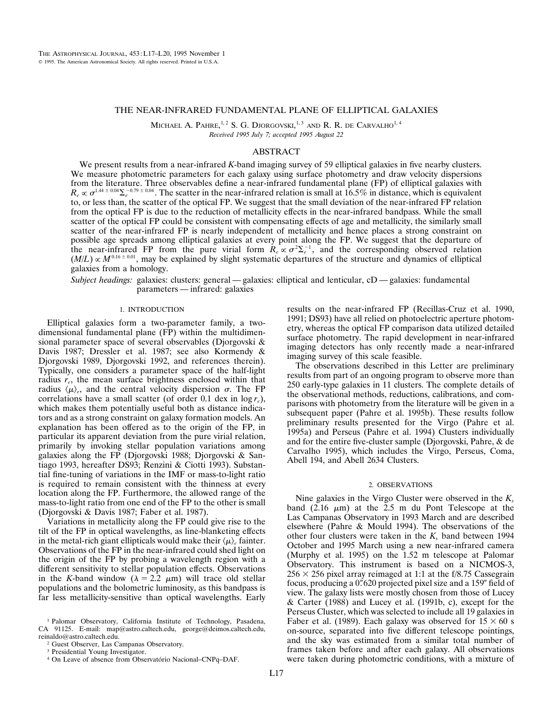# THE NEAR-INFRARED FUNDAMENTAL PLANE OF ELLIPTICAL GALAXIES

MICHAEL A. PAHRE, $^{1,2}$  S. G. Djorgovski, $^{1,3}$  and R. R. de Carvalho $^{1,4}$ *Received 1995 July 7; accepted 1995 August 22*

## ABSTRACT

We present results from a near-infrared *K*-band imaging survey of 59 elliptical galaxies in five nearby clusters. We measure photometric parameters for each galaxy using surface photometry and draw velocity dispersions from the literature. Three observables define a near-infrared fundamental plane (FP) of elliptical galaxies with  $R_e \propto \sigma^{1.44 \pm 0.04} \Sigma_e^{-0.79 \pm 0.04}$ . The scatter in the near-infrared relation is small at 16.5% in distance, which is equivalent to, or less than, the scatter of the optical FP. We suggest that the small deviation of the near-infrared FP relation from the optical FP is due to the reduction of metallicity effects in the near-infrared bandpass. While the small scatter of the optical FP could be consistent with compensating effects of age and metallicity, the similarly small scatter of the near-infrared FP is nearly independent of metallicity and hence places a strong constraint on possible age spreads among elliptical galaxies at every point along the FP. We suggest that the departure of the near-infrared FP from the pure virial form  $R_e \propto \sigma^2 \Sigma_e^{-1}$ , and the corresponding observed relation  $(M/L) \propto M^{0.16 \pm 0.01}$ , may be explained by slight systematic departures of the structure and dynamics of elliptical galaxies from a homology.

*Subject headings:* galaxies: clusters: general — galaxies: elliptical and lenticular, cD — galaxies: fundamental parameters — infrared: galaxies

#### 1. INTRODUCTION

Elliptical galaxies form a two-parameter family, a twodimensional fundamental plane (FP) within the multidimensional parameter space of several observables (Djorgovski & Davis 1987; Dressler et al. 1987; see also Kormendy & Djorgovski 1989, Djorgovski 1992, and references therein). Typically, one considers a parameter space of the half-light radius  $r_e$ , the mean surface brightness enclosed within that radius  $\langle \mu \rangle_e$ , and the central velocity dispersion  $\sigma$ . The FP correlations have a small scatter (of order 0.1 dex in  $\log r_e$ ), which makes them potentially useful both as distance indicators and as a strong constraint on galaxy formation models. An explanation has been offered as to the origin of the FP, in particular its apparent deviation from the pure virial relation, primarily by invoking stellar population variations among galaxies along the FP (Djorgovski 1988; Djorgovski & Santiago 1993, hereafter DS93; Renzini & Ciotti 1993). Substantial fine-tuning of variations in the IMF or mass-to-light ratio is required to remain consistent with the thinness at every location along the FP. Furthermore, the allowed range of the mass-to-light ratio from one end of the FP to the other is small (Djorgovski & Davis 1987; Faber et al. 1987).

Variations in metallicity along the FP could give rise to the tilt of the FP in optical wavelengths, as line-blanketing effects in the metal-rich giant ellipticals would make their  $\langle \mu \rangle_e$  fainter. Observations of the FP in the near-infrared could shed light on the origin of the FP by probing a wavelength region with a different sensitivity to stellar population effects. Observations in the *K*-band window ( $\lambda = 2.2 \mu m$ ) will trace old stellar populations and the bolometric luminosity, as this bandpass is far less metallicity-sensitive than optical wavelengths. Early results on the near-infrared FP (Recillas-Cruz et al. 1990, 1991; DS93) have all relied on photoelectric aperture photometry, whereas the optical FP comparison data utilized detailed surface photometry. The rapid development in near-infrared imaging detectors has only recently made a near-infrared imaging survey of this scale feasible.

The observations described in this Letter are preliminary results from part of an ongoing program to observe more than 250 early-type galaxies in 11 clusters. The complete details of the observational methods, reductions, calibrations, and comparisons with photometry from the literature will be given in a subsequent paper (Pahre et al. 1995b). These results follow preliminary results presented for the Virgo (Pahre et al. 1995a) and Perseus (Pahre et al. 1994) Clusters individually and for the entire five-cluster sample (Djorgovski, Pahre, & de Carvalho 1995), which includes the Virgo, Perseus, Coma, Abell 194, and Abell 2634 Clusters.

## 2. OBSERVATIONS

Nine galaxies in the Virgo Cluster were observed in the  $K_s$ band  $(2.16 \mu m)$  at the 2.5 m du Pont Telescope at the Las Campanas Observatory in 1993 March and are described elsewhere (Pahre & Mould 1994). The observations of the other four clusters were taken in the  $K_s$  band between 1994 October and 1995 March using a new near-infrared camera (Murphy et al. 1995) on the 1.52 m telescope at Palomar Observatory. This instrument is based on a NICMOS-3,  $256 \times 256$  pixel array reimaged at 1:1 at the f/8.75 Cassegrain focus, producing a 0. 620 projected pixel size and a 159<sup>*''*</sup> field of view. The galaxy lists were mostly chosen from those of Lucey & Carter (1988) and Lucey et al. (1991b, c), except for the Perseus Cluster, which was selected to include all 19 galaxies in Faber et al. (1989). Each galaxy was observed for  $15 \times 60$  s on-source, separated into five different telescope pointings, and the sky was estimated from a similar total number of frames taken before and after each galaxy. All observations were taken during photometric conditions, with a mixture of

<sup>1</sup> Palomar Observatory, California Institute of Technology, Pasadena, CA 91125. E-mail: map@astro.caltech.edu, george@deimos.caltech.edu, reinaldo@astro.caltech.edu.

<sup>2</sup> Guest Observer, Las Campanas Observatory.

<sup>3</sup> Presidential Young Investigator.

<sup>&</sup>lt;sup>4</sup> On Leave of absence from Observatório Nacional–CNPq–DAF.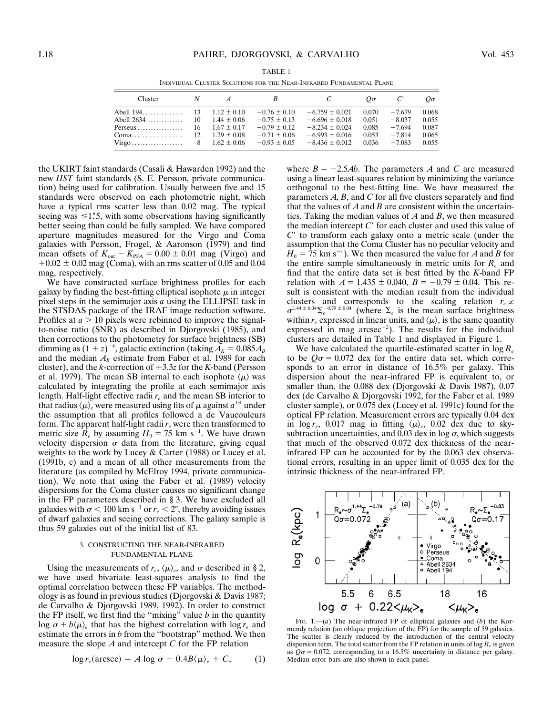| Cluster                                              |  |                          | B                | C                  | $O\sigma$ | C'       | $O\sigma$ |
|------------------------------------------------------|--|--------------------------|------------------|--------------------|-----------|----------|-----------|
|                                                      |  |                          | $-0.76 \pm 0.10$ | $-6.759 \pm 0.021$ | 0.070     | $-7.679$ | 0.068     |
|                                                      |  | $1.44 \pm 0.06$          | $-0.75 \pm 0.13$ | $-6.696 \pm 0.018$ | 0.051     | $-8.037$ | 0.055     |
| Perseus                                              |  | $16 \quad 1.67 \pm 0.17$ | $-0.79 \pm 0.12$ | $-8.234 \pm 0.024$ | 0.085     | $-7.694$ | 0.087     |
|                                                      |  | $1.29 \pm 0.08$          | $-0.71 \pm 0.06$ | $-6.993 \pm 0.016$ | 0.053     | $-7.814$ | 0.065     |
| $Virgo \dots \dots \dots \dots \dots \dots \qquad 8$ |  | $1.62 \pm 0.06$          | $-0.93 \pm 0.05$ | $-8.436 \pm 0.012$ | 0.036     | $-7.083$ | 0.055     |

TABLE 1 INDIVIDUAL CLUSTER SOLUTIONS FOR THE NEAR-INFRARED FUNDAMENTAL PLANE

the UKIRT faint standards (Casali & Hawarden 1992) and the new *HST* faint standards (S. E. Persson, private communication) being used for calibration. Usually between five and 15 standards were observed on each photometric night, which have a typical rms scatter less than 0.02 mag. The typical seeing was  $\leq 1$ "5, with some observations having significantly better seeing than could be fully sampled. We have compared aperture magnitudes measured for the Virgo and Coma galaxies with Persson, Frogel, & Aaronson (1979) and find mean offsets of  $K_{\text{our}} - K_{\text{PFA}} = 0.00 \pm 0.01$  mag (Virgo) and  $+0.02 \pm 0.02$  mag (Coma), with an rms scatter of 0.05 and 0.04 mag, respectively.

We have constructed surface brightness profiles for each galaxy by finding the best-fitting elliptical isophote  $\mu$  in integer pixel steps in the semimajor axis *a* using the ELLIPSE task in the STSDAS package of the IRAF image reduction software. Profiles at  $a > 10$  pixels were rebinned to improve the signalto-noise ratio (SNR) as described in Djorgovski (1985), and then corrections to the photometry for surface brightness (SB) dimming as  $(1 + z)^{-4}$ , galactic extinction (taking  $A_K = 0.085A_B$ and the median  $A_B$  estimate from Faber et al. 1989 for each cluster), and the  $k$ -correction of  $+3.3z$  for the  $K$ -band (Persson et al. 1979). The mean SB internal to each isophote  $\langle \mu \rangle$  was calculated by integrating the profile at each semimajor axis length. Half-light effective radii *re* and the mean SB interior to that radius  $\langle \mu \rangle_e$  were measured using fits of  $\mu$  against  $a^{1/4}$  under the assumption that all profiles followed a de Vaucouleurs form. The apparent half-light radii  $r_e$  were then transformed to metric size  $\overline{R}_e$  by assuming  $H_0 = 75$  km s<sup>-1</sup>. We have drawn velocity dispersion  $\sigma$  data from the literature, giving equal weights to the work by Lucey & Carter (1988) or Lucey et al. (1991b, c) and a mean of all other measurements from the literature (as compiled by McElroy 1994, private communication). We note that using the Faber et al. (1989) velocity dispersions for the Coma cluster causes no significant change in the FP parameters described in § 3. We have excluded all galaxies with  $\sigma$  < 100 km s<sup>-1</sup> or  $r_e$  < 2", thereby avoiding issues of dwarf galaxies and seeing corrections. The galaxy sample is thus 59 galaxies out of the initial list of 83.

### 3. CONSTRUCTING THE NEAR-INFRARED FUNDAMENTAL PLANE

Using the measurements of  $r_e$ ,  $\langle \mu \rangle_e$ , and  $\sigma$  described in § 2, we have used bivariate least-squares analysis to find the optimal correlation between these FP variables. The methodology is as found in previous studies (Djorgovski & Davis 1987; de Carvalho & Djorgovski 1989, 1992). In order to construct the FP itself, we first find the "mixing" value  $b$  in the quantity log  $\sigma + b\langle \mu \rangle_e$  that has the highest correlation with log  $r_e$  and estimate the errors in *b* from the ''bootstrap'' method. We then measure the slope *A* and intercept *C* for the FP relation

$$
\log r_e(\text{arcsec}) = A \log \sigma - 0.4B \langle \mu \rangle_e + C, \quad (1)
$$

where  $B = -2.5Ab$ . The parameters *A* and *C* are measured using a linear least-squares relation by minimizing the variance orthogonal to the best-fitting line. We have measured the parameters *A*, *B*, and *C* for all five clusters separately and find that the values of *A* and *B* are consistent within the uncertainties. Taking the median values of *A* and *B*, we then measured the median intercept  $C'$  for each cluster and used this value of *C*9 to transform each galaxy onto a metric scale (under the assumption that the Coma Cluster has no peculiar velocity and  $H_0 = 75$  km s<sup>-1</sup>). We then measured the value for *A* and *B* for the entire sample simultaneously in metric units for *Re* and find that the entire data set is best fitted by the *K*-band FP relation with  $A = 1.435 \pm 0.040$ ,  $B = -0.79 \pm 0.04$ . This result is consistent with the median result from the individual clusters and corresponds to the scaling relation  $r_e \propto$  $\sigma^{1.44 \pm 0.04} \Sigma_e^{-0.79 \pm 0.04}$  (where  $\Sigma_e$  is the mean surface brightness within  $r_e$  expressed in linear units, and  $\langle \mu \rangle_e$  is the same quantity expressed in mag arcsec<sup>-2</sup>). The results for the individual clusters are detailed in Table 1 and displayed in Figure 1.

We have calculated the quartile-estimated scatter in log *Re* to be  $Q\sigma = 0.072$  dex for the entire data set, which corresponds to an error in distance of 16.5% per galaxy. This dispersion about the near-infrared FP is equivalent to, or smaller than, the 0.088 dex (Djorgovski & Davis 1987), 0.07 dex (de Carvalho & Djorgovski 1992, for the Faber et al. 1989 cluster sample), or 0.075 dex (Lucey et al. 1991c) found for the optical FP relation. Measurement errors are typically 0.04 dex in  $\log r_e$ , 0.017 mag in fitting  $\langle \mu \rangle_e$ , 0.02 dex due to skysubtraction uncertainties, and 0.03 dex in log  $\sigma$ , which suggests that much of the observed 0.072 dex thickness of the nearinfrared FP can be accounted for by the 0.063 dex observational errors, resulting in an upper limit of 0.035 dex for the intrinsic thickness of the near-infrared FP.



FIG. 1.—(*a*) The near-infrared FP of elliptical galaxies and (*b*) the Kormendy relation (an oblique projection of the FP) for the sample of 59 galaxies. The scatter is clearly reduced by the introduction of the central velocity dispersion term. The total scatter from the FP relation in units of log *Re* is given as  $Q\sigma = 0.072$ , corresponding to a 16.5% uncertainty in distance per galaxy. Median error bars are also shown in each panel.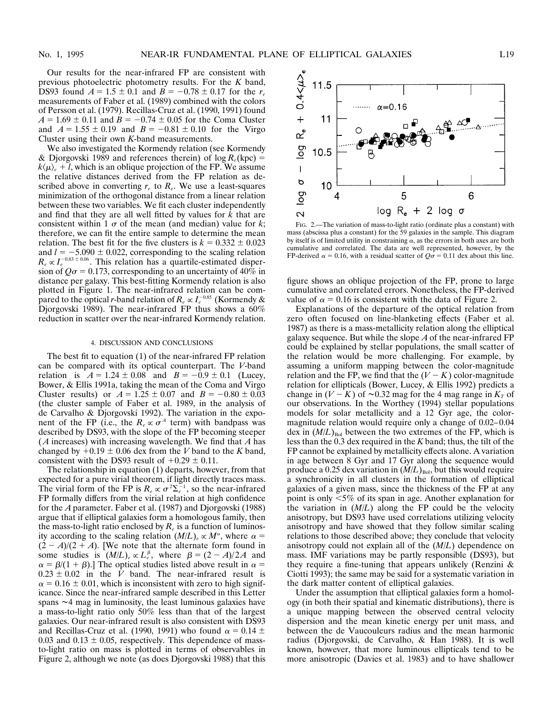Our results for the near-infrared FP are consistent with previous photoelectric photometry results. For the *K* band, DS93 found  $A = 1.5 \pm 0.1$  and  $B = -0.78 \pm 0.17$  for the  $r_e$ measurements of Faber et al. (1989) combined with the colors of Persson et al. (1979). Recillas-Cruz et al. (1990, 1991) found  $A = 1.69 \pm 0.11$  and  $B = -0.74 \pm 0.05$  for the Coma Cluster and  $A = 1.55 \pm 0.19$  and  $B = -0.81 \pm 0.10$  for the Virgo Cluster using their own *K*-band measurements.

We also investigated the Kormendy relation (see Kormendy & Djorgovski 1989 and references therein) of  $\log R_e(\text{kpc}) =$  $k\langle \mu \rangle_e + l$ , which is an oblique projection of the FP. We assume the relative distances derived from the FP relation as described above in converting  $r_e$  to  $R_e$ . We use a least-squares minimization of the orthogonal distance from a linear relation between these two variables. We fit each cluster independently and find that they are all well fitted by values for *k* that are consistent within 1  $\sigma$  of the mean (and median) value for *k*; therefore, we can fit the entire sample to determine the mean relation. The best fit for the five clusters is  $k = 0.332 \pm 0.023$ and  $l = -5.090 \pm 0.022$ , corresponding to the scaling relation  $R_e \propto I_e^{-0.83 \pm 0.06}$ . This relation has a quartile-estimated dispersion of  $Q\sigma$  = 0.173, corresponding to an uncertainty of 40% in distance per galaxy. This best-fitting Kormendy relation is also plotted in Figure 1. The near-infrared relation can be compared to the optical *r*-band relation of  $R_e \propto I_e^{-0.85}$  (Kormendy & Djorgovski 1989). The near-infrared FP thus shows a 60% reduction in scatter over the near-infrared Kormendy relation.

#### 4. DISCUSSION AND CONCLUSIONS

The best fit to equation (1) of the near-infrared FP relation can be compared with its optical counterpart. The *V*-band relation is  $A = 1.24 \pm 0.08$  and  $B = -0.9 \pm 0.1$  (Lucey, Bower, & Ellis 1991a, taking the mean of the Coma and Virgo Cluster results) or  $A = 1.25 \pm 0.07$  and  $B = -0.80 \pm 0.03$ (the cluster sample of Faber et al. 1989, in the analysis of de Carvalho & Djorgovski 1992). The variation in the exponent of the FP (i.e., the  $R_e \propto \sigma^4$  term) with bandpass was described by DS93, with the slope of the FP becoming steeper ( *A* increases) with increasing wavelength. We find that *A* has changed by  $+0.19 \pm 0.06$  dex from the *V* band to the *K* band, consistent with the DS93 result of  $+0.29 \pm 0.11$ .

The relationship in equation (1) departs, however, from that expected for a pure virial theorem, if light directly traces mass. The virial form of the FP is  $R_e \propto \sigma^2 \sum_{e}^{-1}$ , so the near-infrared FP formally differs from the virial relation at high confidence for the *A*parameter. Faber et al. (1987) and Djorgovski (1988) argue that if elliptical galaxies form a homologous family, then the mass-to-light ratio enclosed by  $R_e$  is a function of luminosity according to the scaling relation  $(M/L)$ <sub>e</sub>  $\propto M^{\alpha}$ , where  $\alpha =$  $(2 - A)/(2 + A)$ . [We note that the alternate form found in some studies is  $(M/L)_e \propto L_e^{\beta}$ , where  $\beta = (2 - A)/2A$  and  $\alpha = \beta/(1 + \beta)$ .] The optical studies listed above result in  $\alpha =$  $0.23 \pm 0.02$  in the *V* band. The near-infrared result is  $\alpha = 0.16 \pm 0.01$ , which is inconsistent with zero to high significance. Since the near-infrared sample described in this Letter spans  $\sim$ 4 mag in luminosity, the least luminous galaxies have a mass-to-light ratio only 50% less than that of the largest galaxies. Our near-infrared result is also consistent with DS93 and Recillas-Cruz et al. (1990, 1991) who found  $\alpha = 0.14 \pm$ 0.03 and 0.13  $\pm$  0.05, respectively. This dependence of massto-light ratio on mass is plotted in terms of observables in Figure 2, although we note (as does Djorgovski 1988) that this



FIG. 2.—The variation of mass-to-light ratio (ordinate plus a constant) with mass (abscissa plus a constant) for the 59 galaxies in the sample. This diagram by itself is of limited utility in constraining  $\alpha$ , as the errors in both axes are both cumulative and correlated. The data are well represented, however, by the FP-derived  $\alpha = 0.16$ , with a residual scatter of  $Q\sigma = 0.11$  dex about this line.

figure shows an oblique projection of the FP, prone to large cumulative and correlated errors. Nonetheless, the FP-derived value of  $\alpha = 0.16$  is consistent with the data of Figure 2.

Explanations of the departure of the optical relation from zero often focused on line-blanketing effects (Faber et al. 1987) as there is a mass-metallicity relation along the elliptical galaxy sequence. But while the slope *A*of the near-infrared FP could be explained by stellar populations, the small scatter of the relation would be more challenging. For example, by assuming a uniform mapping between the color-magnitude relation and the FP, we find that the  $(V - K)$  color-magnitude relation for ellipticals (Bower, Lucey, & Ellis 1992) predicts a change in  $(V - K)$  of  $\sim 0.32$  mag for the 4 mag range in  $K_T$  of our observations. In the Worthey (1994) stellar populations models for solar metallicity and a 12 Gyr age, the colormagnitude relation would require only a change of 0.02–0.04 dex in  $(M/L)_{Bol}$  between the two extremes of the FP, which is less than the 0.3 dex required in the *K* band; thus, the tilt of the FP cannot be explained by metallicity effects alone. A variation in age between 8 Gyr and 17 Gyr along the sequence would produce a 0.25 dex variation in  $(M/L)_{Bol}$ , but this would require a synchronicity in all clusters in the formation of elliptical galaxies of a given mass, since the thickness of the FP at any point is only  $\leq 5\%$  of its span in age. Another explanation for the variation in  $(M/L)$  along the FP could be the velocity anisotropy, but DS93 have used correlations utilizing velocity anisotropy and have showed that they follow similar scaling relations to those described above; they conclude that velocity anisotropy could not explain all of the (*M*/*L*) dependence on mass. IMF variations may be partly responsible (DS93), but they require a fine-tuning that appears unlikely (Renzini & Ciotti 1993); the same may be said for a systematic variation in the dark matter content of elliptical galaxies.

Under the assumption that elliptical galaxies form a homology (in both their spatial and kinematic distributions), there is a unique mapping between the observed central velocity dispersion and the mean kinetic energy per unit mass, and between the de Vaucouleurs radius and the mean harmonic radius (Djorgovski, de Carvalho, & Han 1988). It is well known, however, that more luminous ellipticals tend to be more anisotropic (Davies et al. 1983) and to have shallower